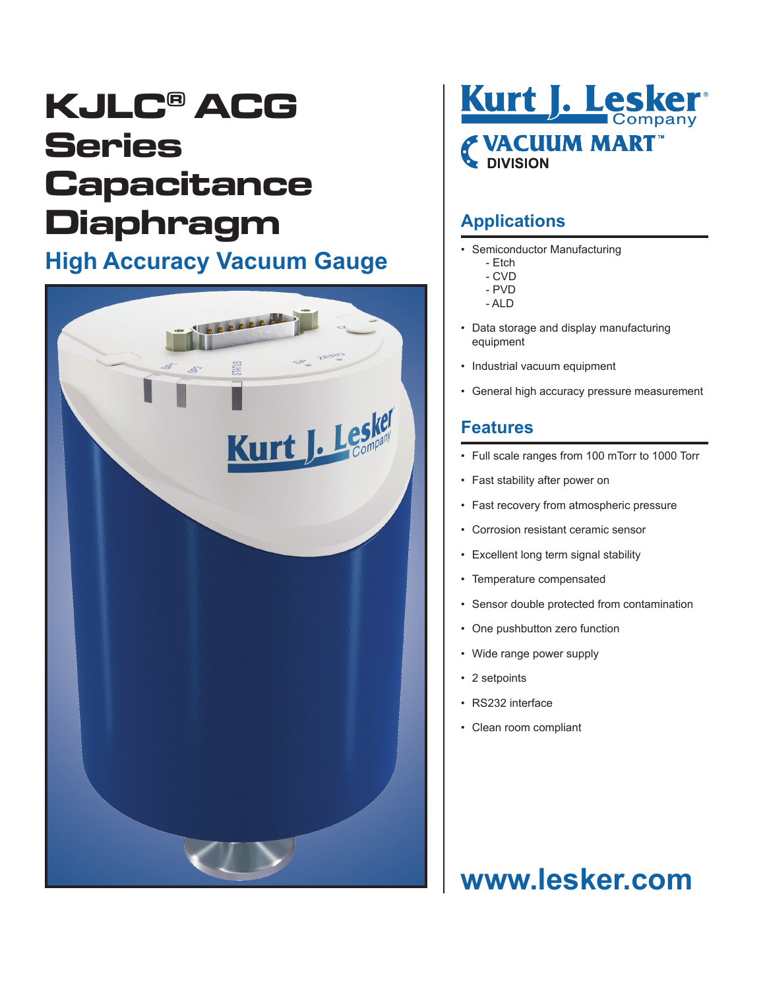# **KJLC® ACG Series Capacitance Diaphragm**

## **High Accuracy Vacuum Gauge**





### **Applications**

- Semiconductor Manufacturing
	- Etch
	- CVD
	- PVD
	- ALD
- Data storage and display manufacturing equipment
- Industrial vacuum equipment
- General high accuracy pressure measurement

#### **Features**

- Full scale ranges from 100 mTorr to 1000 Torr
- Fast stability after power on
- Fast recovery from atmospheric pressure
- Corrosion resistant ceramic sensor
- Excellent long term signal stability
- Temperature compensated
- Sensor double protected from contamination
- One pushbutton zero function
- Wide range power supply
- 2 setpoints
- RS232 interface
- Clean room compliant

## **www.lesker.com**